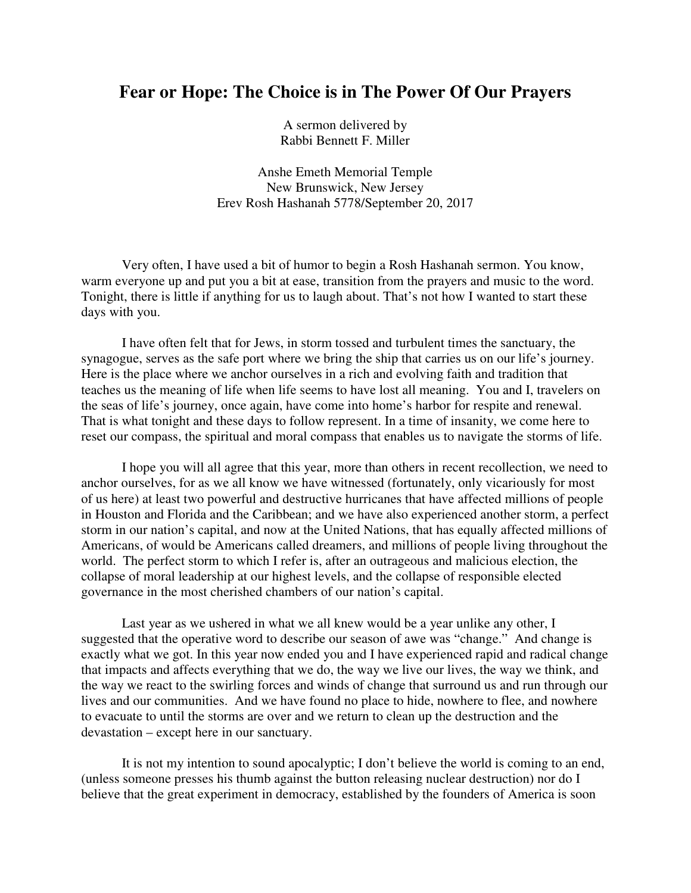## **Fear or Hope: The Choice is in The Power Of Our Prayers**

A sermon delivered by Rabbi Bennett F. Miller

Anshe Emeth Memorial Temple New Brunswick, New Jersey Erev Rosh Hashanah 5778/September 20, 2017

Very often, I have used a bit of humor to begin a Rosh Hashanah sermon. You know, warm everyone up and put you a bit at ease, transition from the prayers and music to the word. Tonight, there is little if anything for us to laugh about. That's not how I wanted to start these days with you.

I have often felt that for Jews, in storm tossed and turbulent times the sanctuary, the synagogue, serves as the safe port where we bring the ship that carries us on our life's journey. Here is the place where we anchor ourselves in a rich and evolving faith and tradition that teaches us the meaning of life when life seems to have lost all meaning. You and I, travelers on the seas of life's journey, once again, have come into home's harbor for respite and renewal. That is what tonight and these days to follow represent. In a time of insanity, we come here to reset our compass, the spiritual and moral compass that enables us to navigate the storms of life.

I hope you will all agree that this year, more than others in recent recollection, we need to anchor ourselves, for as we all know we have witnessed (fortunately, only vicariously for most of us here) at least two powerful and destructive hurricanes that have affected millions of people in Houston and Florida and the Caribbean; and we have also experienced another storm, a perfect storm in our nation's capital, and now at the United Nations, that has equally affected millions of Americans, of would be Americans called dreamers, and millions of people living throughout the world. The perfect storm to which I refer is, after an outrageous and malicious election, the collapse of moral leadership at our highest levels, and the collapse of responsible elected governance in the most cherished chambers of our nation's capital.

Last year as we ushered in what we all knew would be a year unlike any other, I suggested that the operative word to describe our season of awe was "change." And change is exactly what we got. In this year now ended you and I have experienced rapid and radical change that impacts and affects everything that we do, the way we live our lives, the way we think, and the way we react to the swirling forces and winds of change that surround us and run through our lives and our communities. And we have found no place to hide, nowhere to flee, and nowhere to evacuate to until the storms are over and we return to clean up the destruction and the devastation – except here in our sanctuary.

 It is not my intention to sound apocalyptic; I don't believe the world is coming to an end, (unless someone presses his thumb against the button releasing nuclear destruction) nor do I believe that the great experiment in democracy, established by the founders of America is soon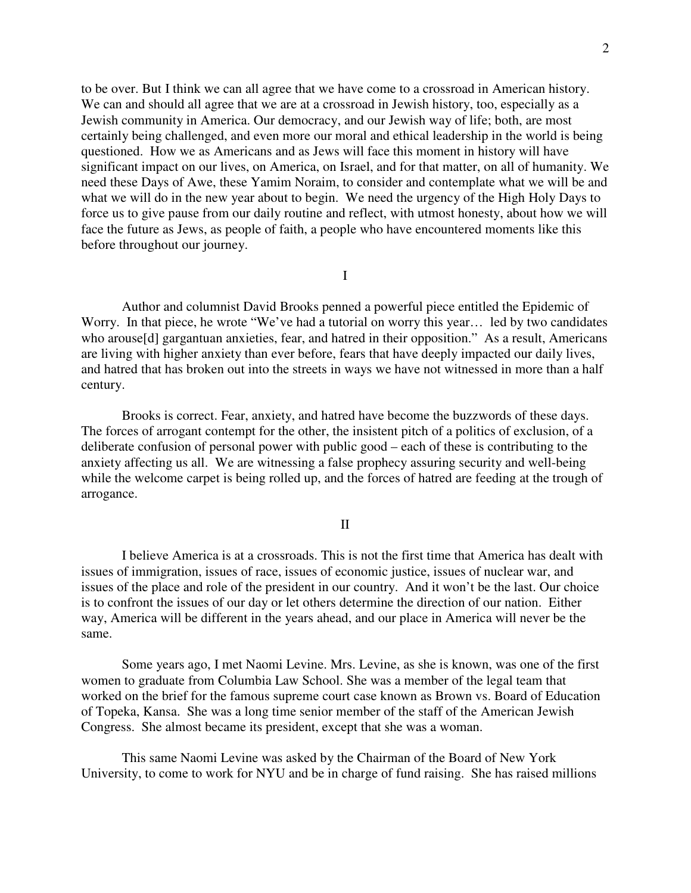to be over. But I think we can all agree that we have come to a crossroad in American history. We can and should all agree that we are at a crossroad in Jewish history, too, especially as a Jewish community in America. Our democracy, and our Jewish way of life; both, are most certainly being challenged, and even more our moral and ethical leadership in the world is being questioned. How we as Americans and as Jews will face this moment in history will have significant impact on our lives, on America, on Israel, and for that matter, on all of humanity. We need these Days of Awe, these Yamim Noraim, to consider and contemplate what we will be and what we will do in the new year about to begin. We need the urgency of the High Holy Days to force us to give pause from our daily routine and reflect, with utmost honesty, about how we will face the future as Jews, as people of faith, a people who have encountered moments like this before throughout our journey.

I

 Author and columnist David Brooks penned a powerful piece entitled the Epidemic of Worry. In that piece, he wrote "We've had a tutorial on worry this year... led by two candidates who arouse[d] gargantuan anxieties, fear, and hatred in their opposition." As a result, Americans are living with higher anxiety than ever before, fears that have deeply impacted our daily lives, and hatred that has broken out into the streets in ways we have not witnessed in more than a half century.

 Brooks is correct. Fear, anxiety, and hatred have become the buzzwords of these days. The forces of arrogant contempt for the other, the insistent pitch of a politics of exclusion, of a deliberate confusion of personal power with public good – each of these is contributing to the anxiety affecting us all. We are witnessing a false prophecy assuring security and well-being while the welcome carpet is being rolled up, and the forces of hatred are feeding at the trough of arrogance.

## II

 I believe America is at a crossroads. This is not the first time that America has dealt with issues of immigration, issues of race, issues of economic justice, issues of nuclear war, and issues of the place and role of the president in our country. And it won't be the last. Our choice is to confront the issues of our day or let others determine the direction of our nation. Either way, America will be different in the years ahead, and our place in America will never be the same.

 Some years ago, I met Naomi Levine. Mrs. Levine, as she is known, was one of the first women to graduate from Columbia Law School. She was a member of the legal team that worked on the brief for the famous supreme court case known as Brown vs. Board of Education of Topeka, Kansa. She was a long time senior member of the staff of the American Jewish Congress. She almost became its president, except that she was a woman.

This same Naomi Levine was asked by the Chairman of the Board of New York University, to come to work for NYU and be in charge of fund raising. She has raised millions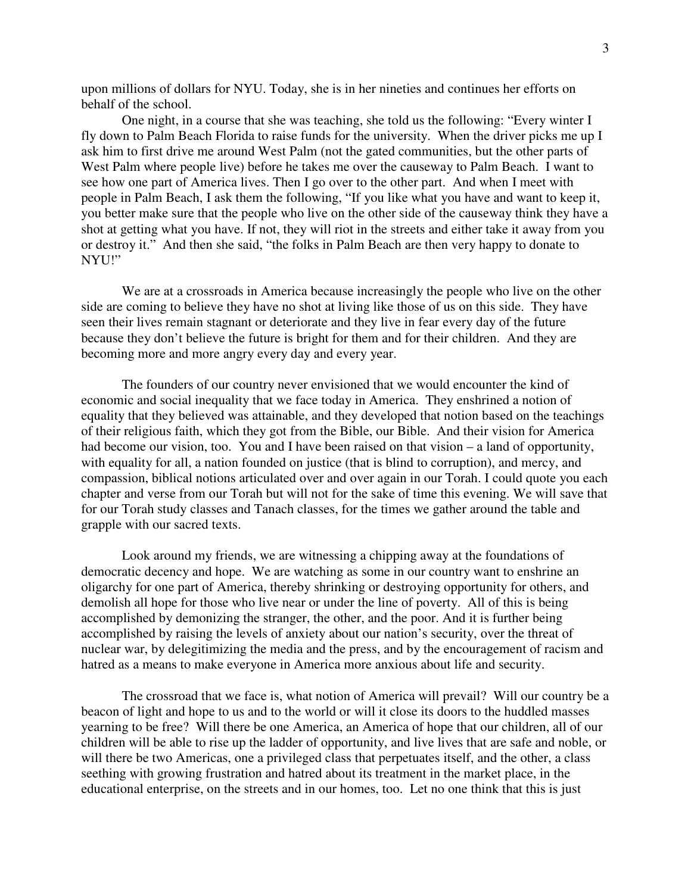upon millions of dollars for NYU. Today, she is in her nineties and continues her efforts on behalf of the school.

One night, in a course that she was teaching, she told us the following: "Every winter I fly down to Palm Beach Florida to raise funds for the university. When the driver picks me up I ask him to first drive me around West Palm (not the gated communities, but the other parts of West Palm where people live) before he takes me over the causeway to Palm Beach. I want to see how one part of America lives. Then I go over to the other part. And when I meet with people in Palm Beach, I ask them the following, "If you like what you have and want to keep it, you better make sure that the people who live on the other side of the causeway think they have a shot at getting what you have. If not, they will riot in the streets and either take it away from you or destroy it." And then she said, "the folks in Palm Beach are then very happy to donate to NYU!"

 We are at a crossroads in America because increasingly the people who live on the other side are coming to believe they have no shot at living like those of us on this side. They have seen their lives remain stagnant or deteriorate and they live in fear every day of the future because they don't believe the future is bright for them and for their children. And they are becoming more and more angry every day and every year.

 The founders of our country never envisioned that we would encounter the kind of economic and social inequality that we face today in America. They enshrined a notion of equality that they believed was attainable, and they developed that notion based on the teachings of their religious faith, which they got from the Bible, our Bible. And their vision for America had become our vision, too. You and I have been raised on that vision – a land of opportunity, with equality for all, a nation founded on justice (that is blind to corruption), and mercy, and compassion, biblical notions articulated over and over again in our Torah. I could quote you each chapter and verse from our Torah but will not for the sake of time this evening. We will save that for our Torah study classes and Tanach classes, for the times we gather around the table and grapple with our sacred texts.

Look around my friends, we are witnessing a chipping away at the foundations of democratic decency and hope. We are watching as some in our country want to enshrine an oligarchy for one part of America, thereby shrinking or destroying opportunity for others, and demolish all hope for those who live near or under the line of poverty. All of this is being accomplished by demonizing the stranger, the other, and the poor. And it is further being accomplished by raising the levels of anxiety about our nation's security, over the threat of nuclear war, by delegitimizing the media and the press, and by the encouragement of racism and hatred as a means to make everyone in America more anxious about life and security.

The crossroad that we face is, what notion of America will prevail? Will our country be a beacon of light and hope to us and to the world or will it close its doors to the huddled masses yearning to be free? Will there be one America, an America of hope that our children, all of our children will be able to rise up the ladder of opportunity, and live lives that are safe and noble, or will there be two Americas, one a privileged class that perpetuates itself, and the other, a class seething with growing frustration and hatred about its treatment in the market place, in the educational enterprise, on the streets and in our homes, too. Let no one think that this is just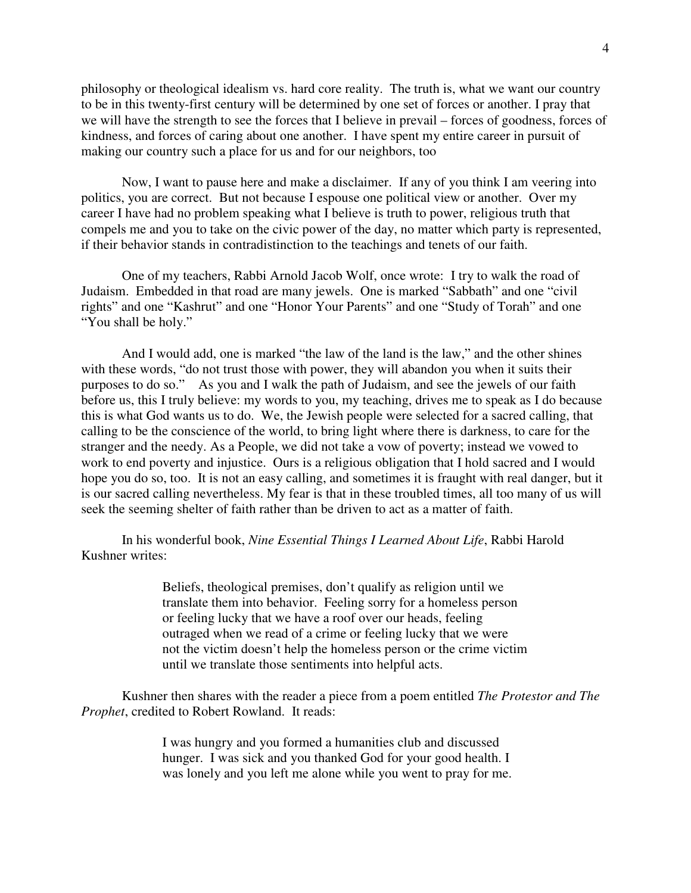philosophy or theological idealism vs. hard core reality. The truth is, what we want our country to be in this twenty-first century will be determined by one set of forces or another. I pray that we will have the strength to see the forces that I believe in prevail – forces of goodness, forces of kindness, and forces of caring about one another. I have spent my entire career in pursuit of making our country such a place for us and for our neighbors, too

Now, I want to pause here and make a disclaimer. If any of you think I am veering into politics, you are correct. But not because I espouse one political view or another. Over my career I have had no problem speaking what I believe is truth to power, religious truth that compels me and you to take on the civic power of the day, no matter which party is represented, if their behavior stands in contradistinction to the teachings and tenets of our faith.

One of my teachers, Rabbi Arnold Jacob Wolf, once wrote: I try to walk the road of Judaism. Embedded in that road are many jewels. One is marked "Sabbath" and one "civil rights" and one "Kashrut" and one "Honor Your Parents" and one "Study of Torah" and one "You shall be holy."

And I would add, one is marked "the law of the land is the law," and the other shines with these words, "do not trust those with power, they will abandon you when it suits their purposes to do so." As you and I walk the path of Judaism, and see the jewels of our faith before us, this I truly believe: my words to you, my teaching, drives me to speak as I do because this is what God wants us to do. We, the Jewish people were selected for a sacred calling, that calling to be the conscience of the world, to bring light where there is darkness, to care for the stranger and the needy. As a People, we did not take a vow of poverty; instead we vowed to work to end poverty and injustice. Ours is a religious obligation that I hold sacred and I would hope you do so, too. It is not an easy calling, and sometimes it is fraught with real danger, but it is our sacred calling nevertheless. My fear is that in these troubled times, all too many of us will seek the seeming shelter of faith rather than be driven to act as a matter of faith.

In his wonderful book, *Nine Essential Things I Learned About Life*, Rabbi Harold Kushner writes:

> Beliefs, theological premises, don't qualify as religion until we translate them into behavior. Feeling sorry for a homeless person or feeling lucky that we have a roof over our heads, feeling outraged when we read of a crime or feeling lucky that we were not the victim doesn't help the homeless person or the crime victim until we translate those sentiments into helpful acts.

Kushner then shares with the reader a piece from a poem entitled *The Protestor and The Prophet*, credited to Robert Rowland. It reads:

> I was hungry and you formed a humanities club and discussed hunger. I was sick and you thanked God for your good health. I was lonely and you left me alone while you went to pray for me.